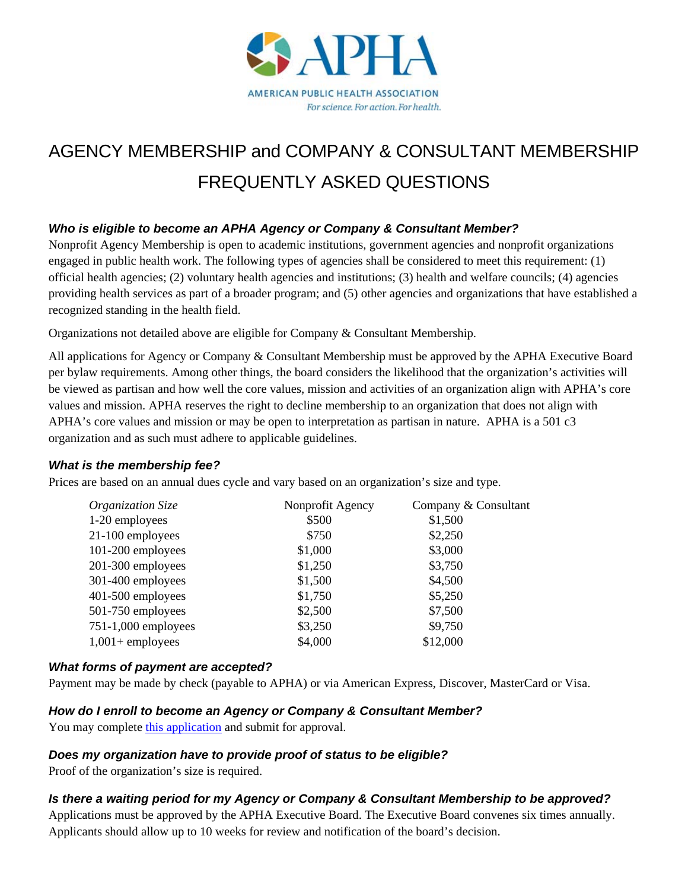

# AGENCY MEMBERSHIP and COMPANY & CONSULTANT MEMBERSHIP FREQUENTLY ASKED QUESTIONS

# *Who is eligible to become an APHA Agency or Company & Consultant Member?*

Nonprofit Agency Membership is open to academic institutions, government agencies and nonprofit organizations engaged in public health work. The following types of agencies shall be considered to meet this requirement: (1) official health agencies; (2) voluntary health agencies and institutions; (3) health and welfare councils; (4) agencies providing health services as part of a broader program; and (5) other agencies and organizations that have established a recognized standing in the health field.

Organizations not detailed above are eligible for Company & Consultant Membership.

All applications for Agency or Company & Consultant Membership must be approved by the APHA Executive Board per bylaw requirements. Among other things, the board considers the likelihood that the organization's activities will be viewed as partisan and how well the core values, mission and activities of an organization align with APHA's core values and mission. APHA reserves the right to decline membership to an organization that does not align with APHA's core values and mission or may be open to interpretation as partisan in nature. APHA is a 501 c3 organization and as such must adhere to applicable guidelines.

#### *What is the membership fee?*

Prices are based on an annual dues cycle and vary based on an organization's size and type.

| Nonprofit Agency | Company & Consultant |
|------------------|----------------------|
| \$500            | \$1,500              |
| \$750            | \$2,250              |
| \$1,000          | \$3,000              |
| \$1,250          | \$3,750              |
| \$1,500          | \$4,500              |
| \$1,750          | \$5,250              |
| \$2,500          | \$7,500              |
| \$3,250          | \$9,750              |
| \$4,000          | \$12,000             |
|                  |                      |

## *What forms of payment are accepted?*

Payment may be made by check (payable to APHA) or via American Express, Discover, MasterCard or Visa.

#### *How do I enroll to become an Agency or Company & Consultant Member?*

You may complete this application and submit for approval.

#### *Does my organization have to provide proof of status to be eligible?*

Proof of the organization's size is required.

## *Is there a waiting period for my Agency or Company & Consultant Membership to be approved?*

Applications must be approved by the APHA Executive Board. The Executive Board convenes six times annually. Applicants should allow up to 10 weeks for review and notification of the board's decision.